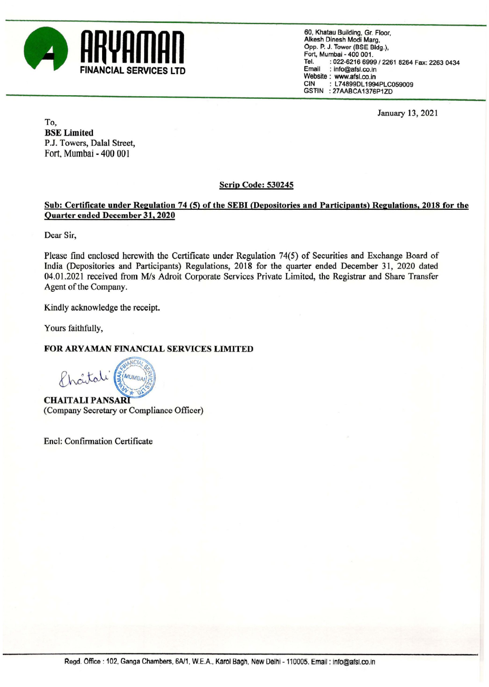

60, Khatau Building, Gr. Floor, Alkesh Dinesh Modi Marg, Opp. P. J. Tower (BSE Bldg.), Fort, Mumbai - 400 001. Tel. : 022-6216 6999 / 2261 8264 Fax: 2263 0434<br>**Tel.** : info@afsl.co.in<br>Website : www.afsl.co.in CIN : L74899DL1994PLC059009 GSTIN : 27AABCA1376P1ZD

January 13, 2021

To, BSE Limited P.J. Towers, Dalal Street, Fort, Mumbai - 400 001

## Scrip Code: 530245

## Sub: Certificate under Regulation 74 (5) of the SEBI (Depositories and Participants) Regulations, 2018 for the Quarter ended December 31, 2020

Dear Sir,

Please find enclosed herewith the Certificate under Regulation 74(5) of Securities and Exchange Board of India (Depositories and Participants) Regulations, 2018 for the quarter ended December 31, 2020 dated 04.01.2021 received from M/s Adroit Corporate Services Private Limited, the Registrar and Share Transfer Agent of the Company. Suring Suring Series (Series and December 31, 2020)<br>
Dear Sir,<br>
Please find encoded becomber 31, 2020<br>
Dear Sir,<br>
Please find encoded herewith the Certificate under India (Depositories and Participants) Regulations, 20<br>
4

Kindly acknowledge the receipt.

Yours faithfully,

## FOR ARYAMAN FINANCIAL SERVICES LIMITED

(Company Secretary or Compliance Officer)

Encl: Confirmation Certificate